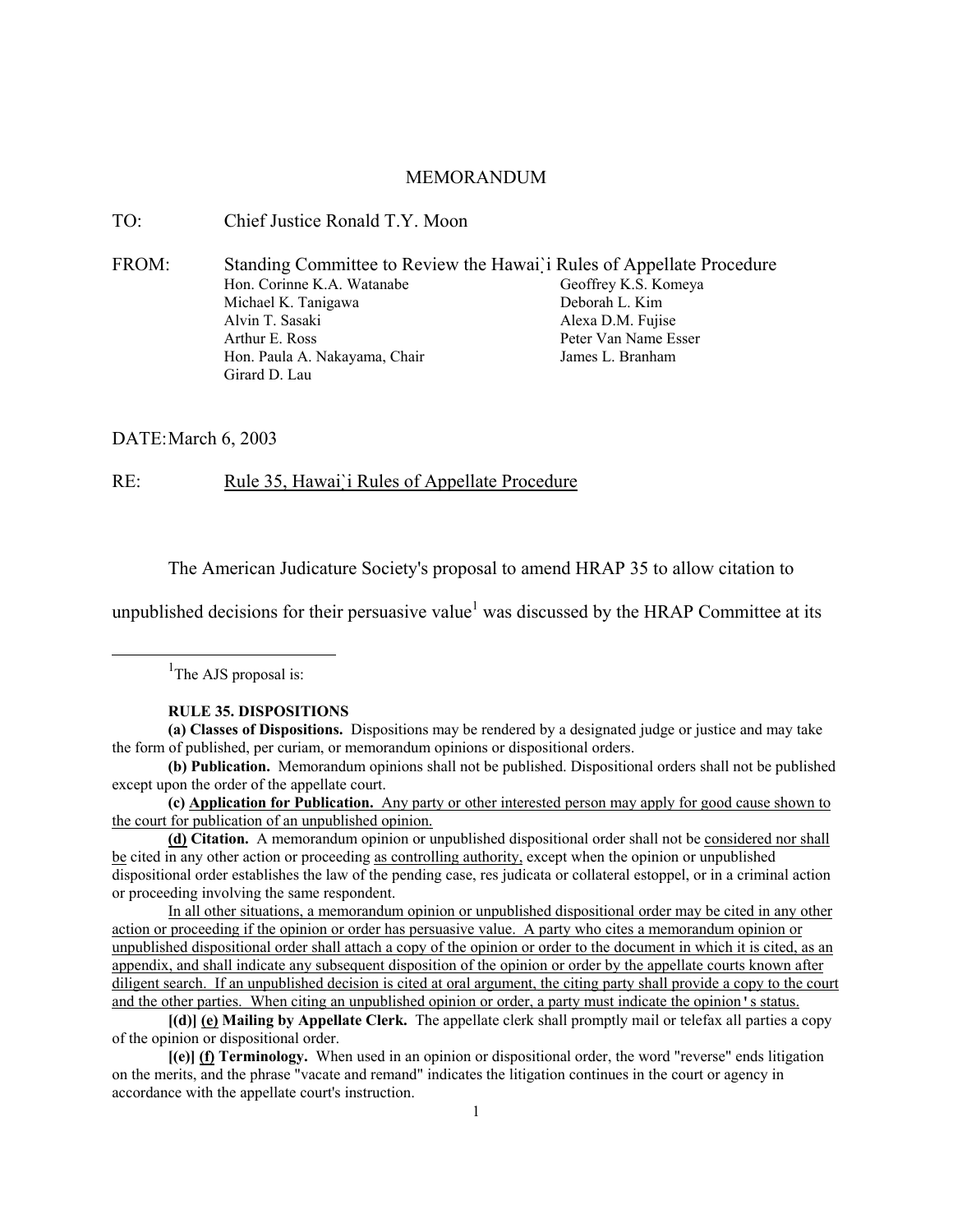### MEMORANDUM

TO: Chief Justice Ronald T.Y. Moon

FROM: Standing Committee to Review the Hawai`i Rules of Appellate Procedure Hon. Corinne K.A. Watanabe Michael K. Tanigawa Alvin T. Sasaki Arthur E. Ross Hon. Paula A. Nakayama, Chair Girard D. Lau Geoffrey K.S. Komeya Deborah L. Kim Alexa D.M. Fujise Peter Van Name Esser James L. Branham

DATE: March 6, 2003

RE: Rule 35, Hawai`i Rules of Appellate Procedure

The American Judicature Society's proposal to amend HRAP 35 to allow citation to

unpublished decisions for their persuasive value<sup>1</sup> was discussed by the HRAP Committee at its

<u>1</u> <sup>1</sup>The AJS proposal is:

#### **RULE 35. DISPOSITIONS**

**(a) Classes of Dispositions.** Dispositions may be rendered by a designated judge or justice and may take the form of published, per curiam, or memorandum opinions or dispositional orders.

**(b) Publication.** Memorandum opinions shall not be published. Dispositional orders shall not be published except upon the order of the appellate court.

**(c) Application for Publication.** Any party or other interested person may apply for good cause shown to the court for publication of an unpublished opinion.

**(d) Citation.** A memorandum opinion or unpublished dispositional order shall not be considered nor shall be cited in any other action or proceeding as controlling authority, except when the opinion or unpublished dispositional order establishes the law of the pending case, res judicata or collateral estoppel, or in a criminal action or proceeding involving the same respondent.

In all other situations, a memorandum opinion or unpublished dispositional order may be cited in any other action or proceeding if the opinion or order has persuasive value. A party who cites a memorandum opinion or unpublished dispositional order shall attach a copy of the opinion or order to the document in which it is cited, as an appendix, and shall indicate any subsequent disposition of the opinion or order by the appellate courts known after diligent search. If an unpublished decision is cited at oral argument, the citing party shall provide a copy to the court and the other parties. When citing an unpublished opinion or order, a party must indicate the opinion's status.

**[(d)] (e) Mailing by Appellate Clerk.** The appellate clerk shall promptly mail or telefax all parties a copy of the opinion or dispositional order.

**[(e)] (f) Terminology.** When used in an opinion or dispositional order, the word "reverse" ends litigation on the merits, and the phrase "vacate and remand" indicates the litigation continues in the court or agency in accordance with the appellate court's instruction.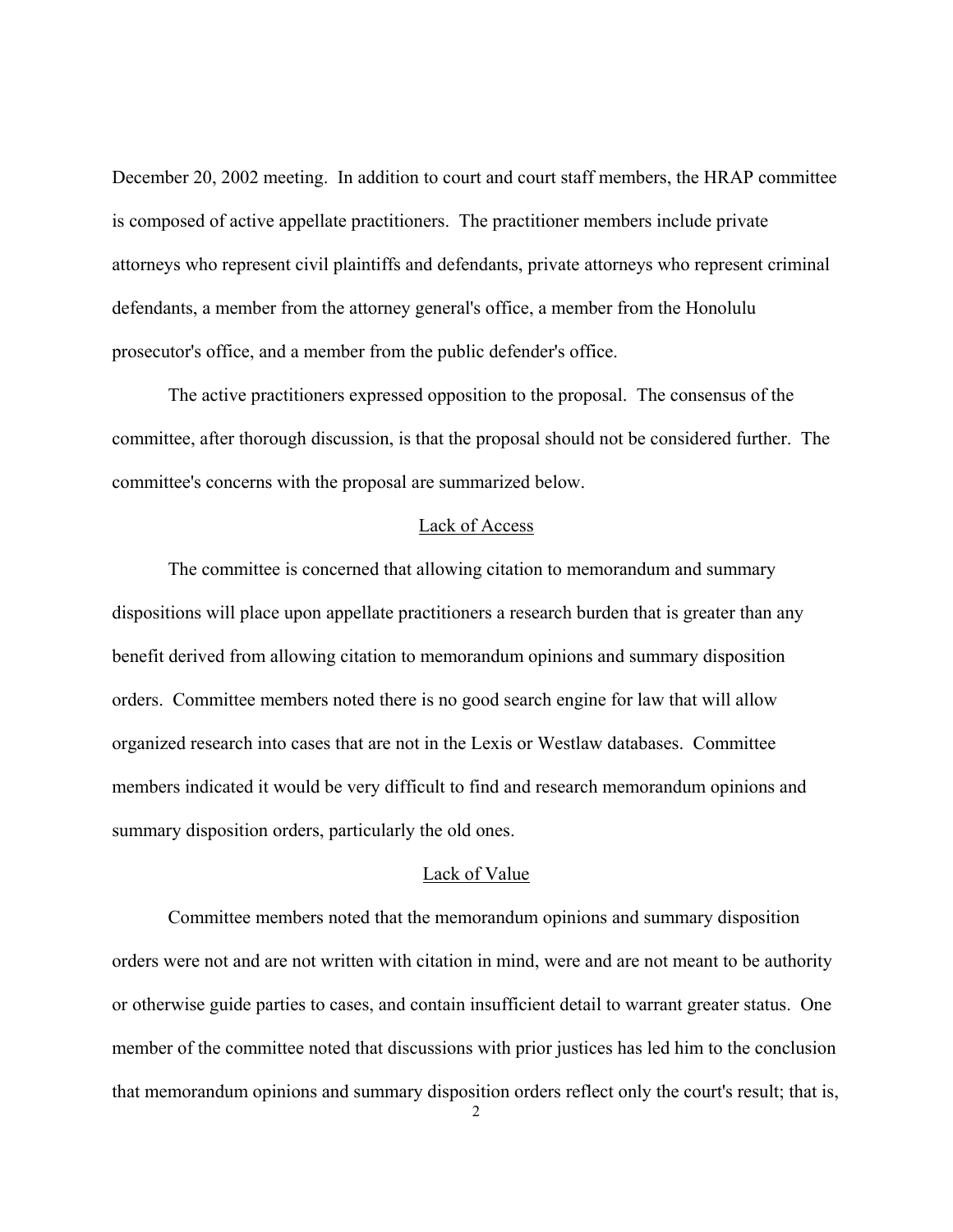December 20, 2002 meeting. In addition to court and court staff members, the HRAP committee is composed of active appellate practitioners. The practitioner members include private attorneys who represent civil plaintiffs and defendants, private attorneys who represent criminal defendants, a member from the attorney general's office, a member from the Honolulu prosecutor's office, and a member from the public defender's office.

The active practitioners expressed opposition to the proposal. The consensus of the committee, after thorough discussion, is that the proposal should not be considered further. The committee's concerns with the proposal are summarized below.

# Lack of Access

The committee is concerned that allowing citation to memorandum and summary dispositions will place upon appellate practitioners a research burden that is greater than any benefit derived from allowing citation to memorandum opinions and summary disposition orders. Committee members noted there is no good search engine for law that will allow organized research into cases that are not in the Lexis or Westlaw databases. Committee members indicated it would be very difficult to find and research memorandum opinions and summary disposition orders, particularly the old ones.

#### Lack of Value

Committee members noted that the memorandum opinions and summary disposition orders were not and are not written with citation in mind, were and are not meant to be authority or otherwise guide parties to cases, and contain insufficient detail to warrant greater status. One member of the committee noted that discussions with prior justices has led him to the conclusion that memorandum opinions and summary disposition orders reflect only the court's result; that is,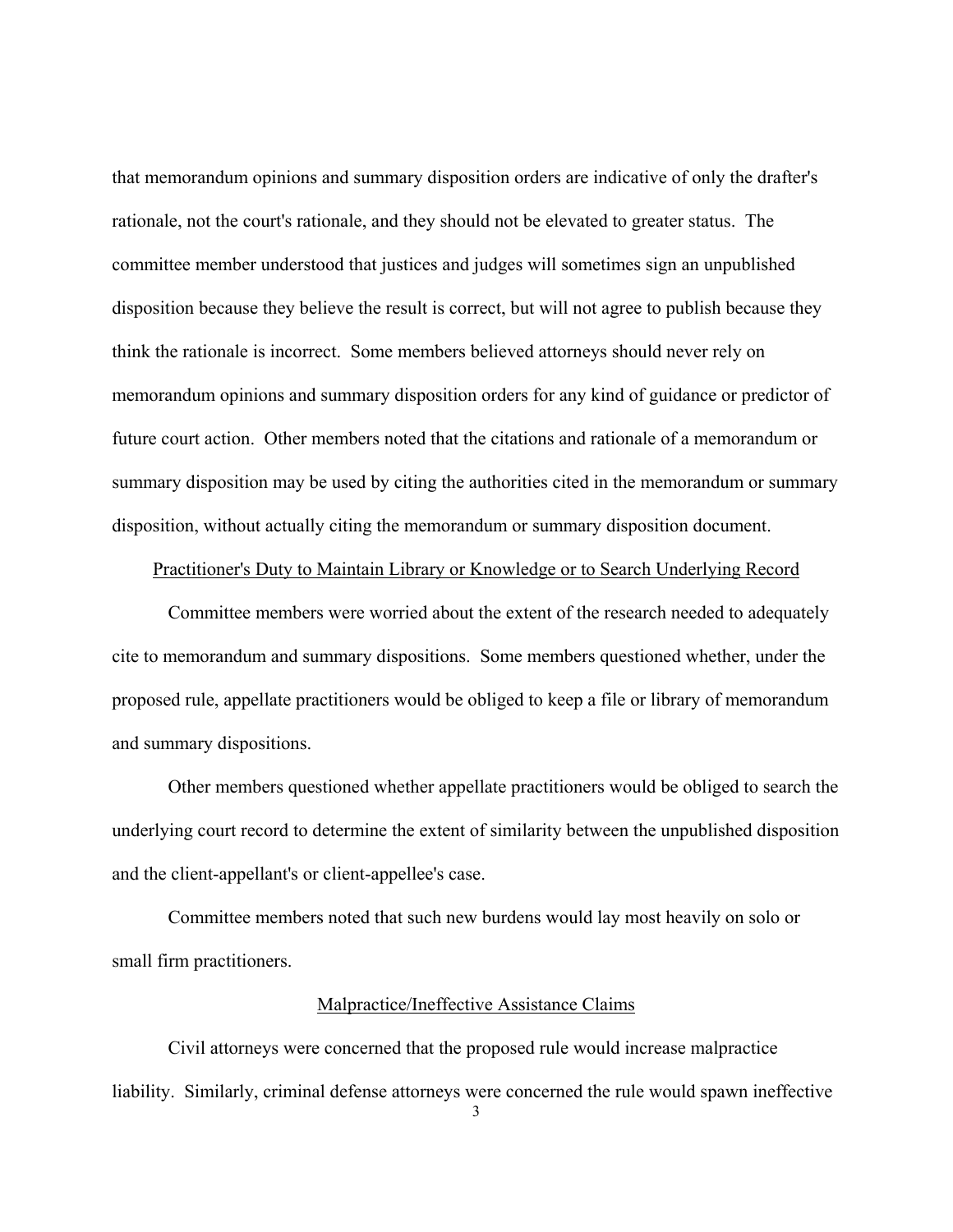that memorandum opinions and summary disposition orders are indicative of only the drafter's rationale, not the court's rationale, and they should not be elevated to greater status. The committee member understood that justices and judges will sometimes sign an unpublished disposition because they believe the result is correct, but will not agree to publish because they think the rationale is incorrect. Some members believed attorneys should never rely on memorandum opinions and summary disposition orders for any kind of guidance or predictor of future court action. Other members noted that the citations and rationale of a memorandum or summary disposition may be used by citing the authorities cited in the memorandum or summary disposition, without actually citing the memorandum or summary disposition document.

# Practitioner's Duty to Maintain Library or Knowledge or to Search Underlying Record

Committee members were worried about the extent of the research needed to adequately cite to memorandum and summary dispositions. Some members questioned whether, under the proposed rule, appellate practitioners would be obliged to keep a file or library of memorandum and summary dispositions.

Other members questioned whether appellate practitioners would be obliged to search the underlying court record to determine the extent of similarity between the unpublished disposition and the client-appellant's or client-appellee's case.

Committee members noted that such new burdens would lay most heavily on solo or small firm practitioners.

# Malpractice/Ineffective Assistance Claims

Civil attorneys were concerned that the proposed rule would increase malpractice liability. Similarly, criminal defense attorneys were concerned the rule would spawn ineffective